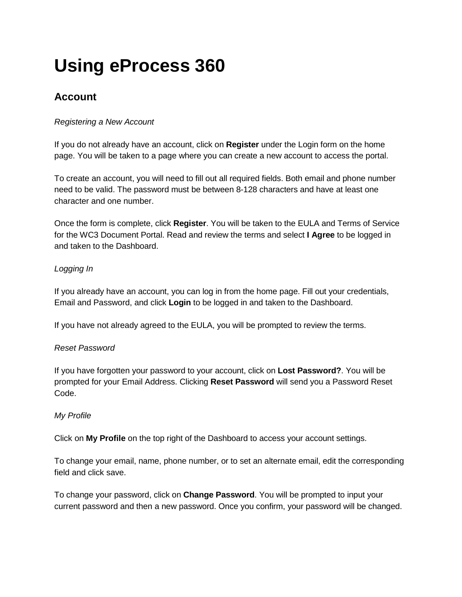# **Using eProcess 360**

## **Account**

## *Registering a New Account*

If you do not already have an account, click on **Register** under the Login form on the home page. You will be taken to a page where you can create a new account to access the portal.

To create an account, you will need to fill out all required fields. Both email and phone number need to be valid. The password must be between 8-128 characters and have at least one character and one number.

Once the form is complete, click **Register**. You will be taken to the EULA and Terms of Service for the WC3 Document Portal. Read and review the terms and select **I Agree** to be logged in and taken to the Dashboard.

## *Logging In*

If you already have an account, you can log in from the home page. Fill out your credentials, Email and Password, and click **Login** to be logged in and taken to the Dashboard.

If you have not already agreed to the EULA, you will be prompted to review the terms.

## *Reset Password*

If you have forgotten your password to your account, click on **Lost Password?**. You will be prompted for your Email Address. Clicking **Reset Password** will send you a Password Reset Code.

## *My Profile*

Click on **My Profile** on the top right of the Dashboard to access your account settings.

To change your email, name, phone number, or to set an alternate email, edit the corresponding field and click save.

To change your password, click on **Change Password**. You will be prompted to input your current password and then a new password. Once you confirm, your password will be changed.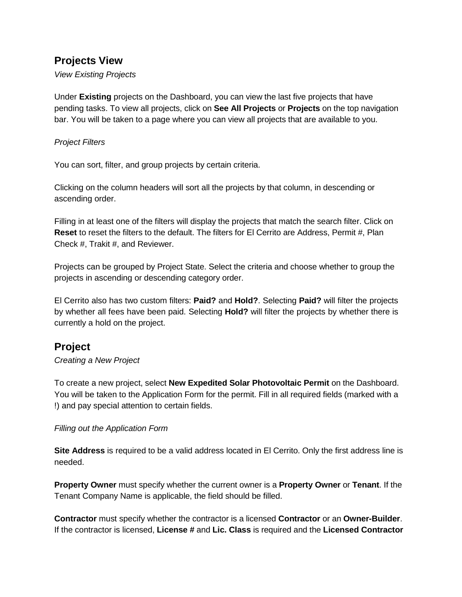## **Projects View**

*View Existing Projects*

Under **Existing** projects on the Dashboard, you can view the last five projects that have pending tasks. To view all projects, click on **See All Projects** or **Projects** on the top navigation bar. You will be taken to a page where you can view all projects that are available to you.

#### *Project Filters*

You can sort, filter, and group projects by certain criteria.

Clicking on the column headers will sort all the projects by that column, in descending or ascending order.

Filling in at least one of the filters will display the projects that match the search filter. Click on **Reset** to reset the filters to the default. The filters for El Cerrito are Address, Permit #, Plan Check #, Trakit #, and Reviewer.

Projects can be grouped by Project State. Select the criteria and choose whether to group the projects in ascending or descending category order.

El Cerrito also has two custom filters: **Paid?** and **Hold?**. Selecting **Paid?** will filter the projects by whether all fees have been paid. Selecting **Hold?** will filter the projects by whether there is currently a hold on the project.

## **Project**

#### *Creating a New Project*

To create a new project, select **New Expedited Solar Photovoltaic Permit** on the Dashboard. You will be taken to the Application Form for the permit. Fill in all required fields (marked with a !) and pay special attention to certain fields.

#### *Filling out the Application Form*

**Site Address** is required to be a valid address located in El Cerrito. Only the first address line is needed.

**Property Owner** must specify whether the current owner is a **Property Owner** or **Tenant**. If the Tenant Company Name is applicable, the field should be filled.

**Contractor** must specify whether the contractor is a licensed **Contractor** or an **Owner-Builder**. If the contractor is licensed, **License #** and **Lic. Class** is required and the **Licensed Contractor**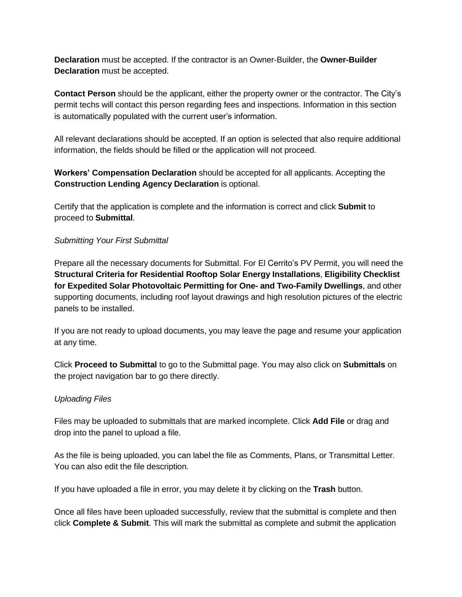**Declaration** must be accepted. If the contractor is an Owner-Builder, the **Owner-Builder Declaration** must be accepted.

**Contact Person** should be the applicant, either the property owner or the contractor. The City's permit techs will contact this person regarding fees and inspections. Information in this section is automatically populated with the current user's information.

All relevant declarations should be accepted. If an option is selected that also require additional information, the fields should be filled or the application will not proceed.

### **Workers' Compensation Declaration** should be accepted for all applicants. Accepting the **Construction Lending Agency Declaration** is optional.

Certify that the application is complete and the information is correct and click **Submit** to proceed to **Submittal**.

#### *Submitting Your First Submittal*

Prepare all the necessary documents for Submittal. For El Cerrito's PV Permit, you will need the **Structural Criteria for Residential Rooftop Solar Energy Installations**, **Eligibility Checklist for Expedited Solar Photovoltaic Permitting for One- and Two-Family Dwellings**, and other supporting documents, including roof layout drawings and high resolution pictures of the electric panels to be installed.

If you are not ready to upload documents, you may leave the page and resume your application at any time.

Click **Proceed to Submittal** to go to the Submittal page. You may also click on **Submittals** on the project navigation bar to go there directly.

#### *Uploading Files*

Files may be uploaded to submittals that are marked incomplete. Click **Add File** or drag and drop into the panel to upload a file.

As the file is being uploaded, you can label the file as Comments, Plans, or Transmittal Letter. You can also edit the file description.

If you have uploaded a file in error, you may delete it by clicking on the **Trash** button.

Once all files have been uploaded successfully, review that the submittal is complete and then click **Complete & Submit**. This will mark the submittal as complete and submit the application